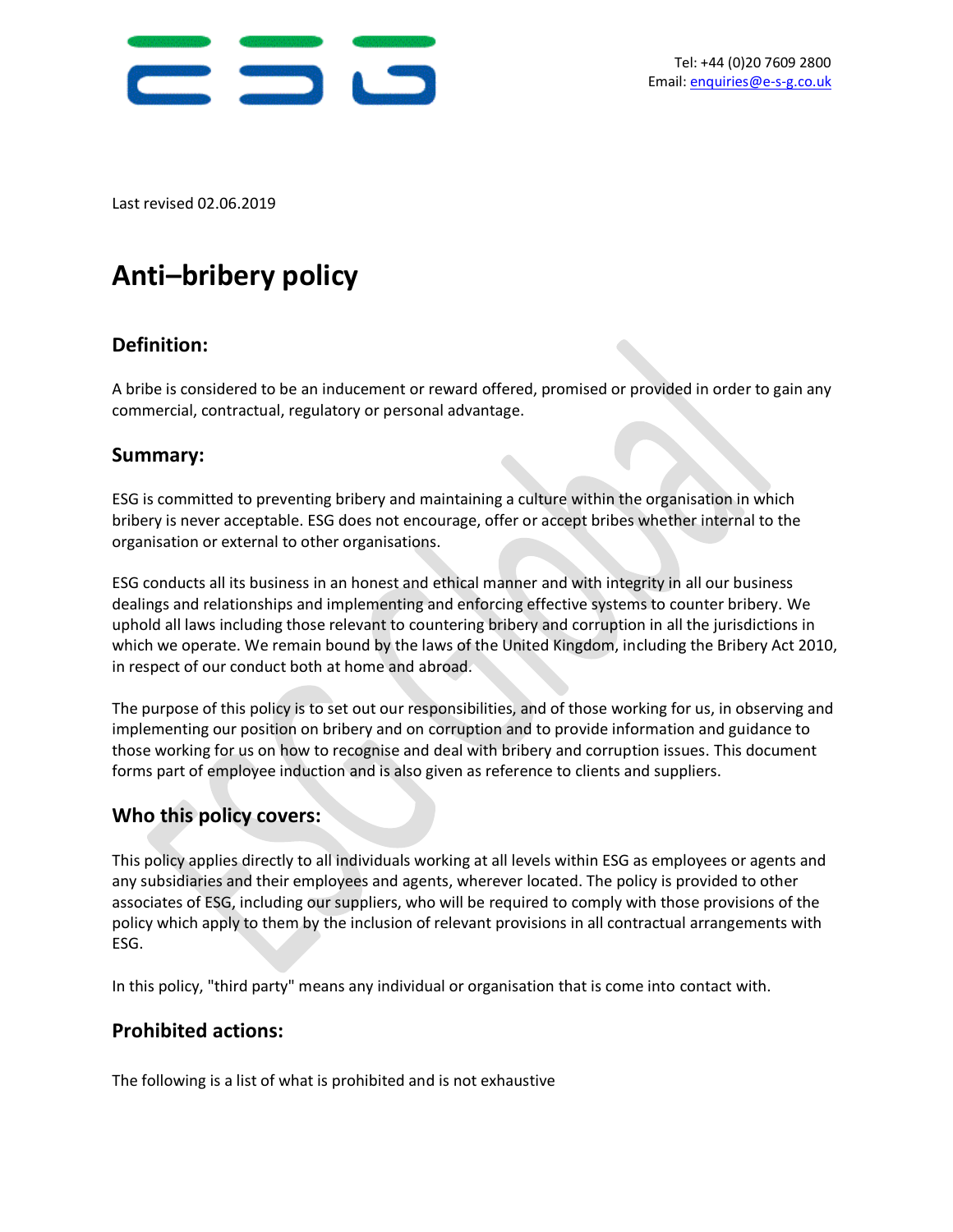

Last revised 02.06.2019

# **Anti–bribery policy**

## **Definition:**

A bribe is considered to be an inducement or reward offered, promised or provided in order to gain any commercial, contractual, regulatory or personal advantage.

#### **Summary:**

ESG is committed to preventing bribery and maintaining a culture within the organisation in which bribery is never acceptable. ESG does not encourage, offer or accept bribes whether internal to the organisation or external to other organisations.

ESG conducts all its business in an honest and ethical manner and with integrity in all our business dealings and relationships and implementing and enforcing effective systems to counter bribery. We uphold all laws including those relevant to countering bribery and corruption in all the jurisdictions in which we operate. We remain bound by the laws of the United Kingdom, including the Bribery Act 2010, in respect of our conduct both at home and abroad.

The purpose of this policy is to set out our responsibilities, and of those working for us, in observing and implementing our position on bribery and on corruption and to provide information and guidance to those working for us on how to recognise and deal with bribery and corruption issues. This document forms part of employee induction and is also given as reference to clients and suppliers.

## **Who this policy covers:**

This policy applies directly to all individuals working at all levels within ESG as employees or agents and any subsidiaries and their employees and agents, wherever located. The policy is provided to other associates of ESG, including our suppliers, who will be required to comply with those provisions of the policy which apply to them by the inclusion of relevant provisions in all contractual arrangements with ESG.

In this policy, "third party" means any individual or organisation that is come into contact with.

#### **Prohibited actions:**

The following is a list of what is prohibited and is not exhaustive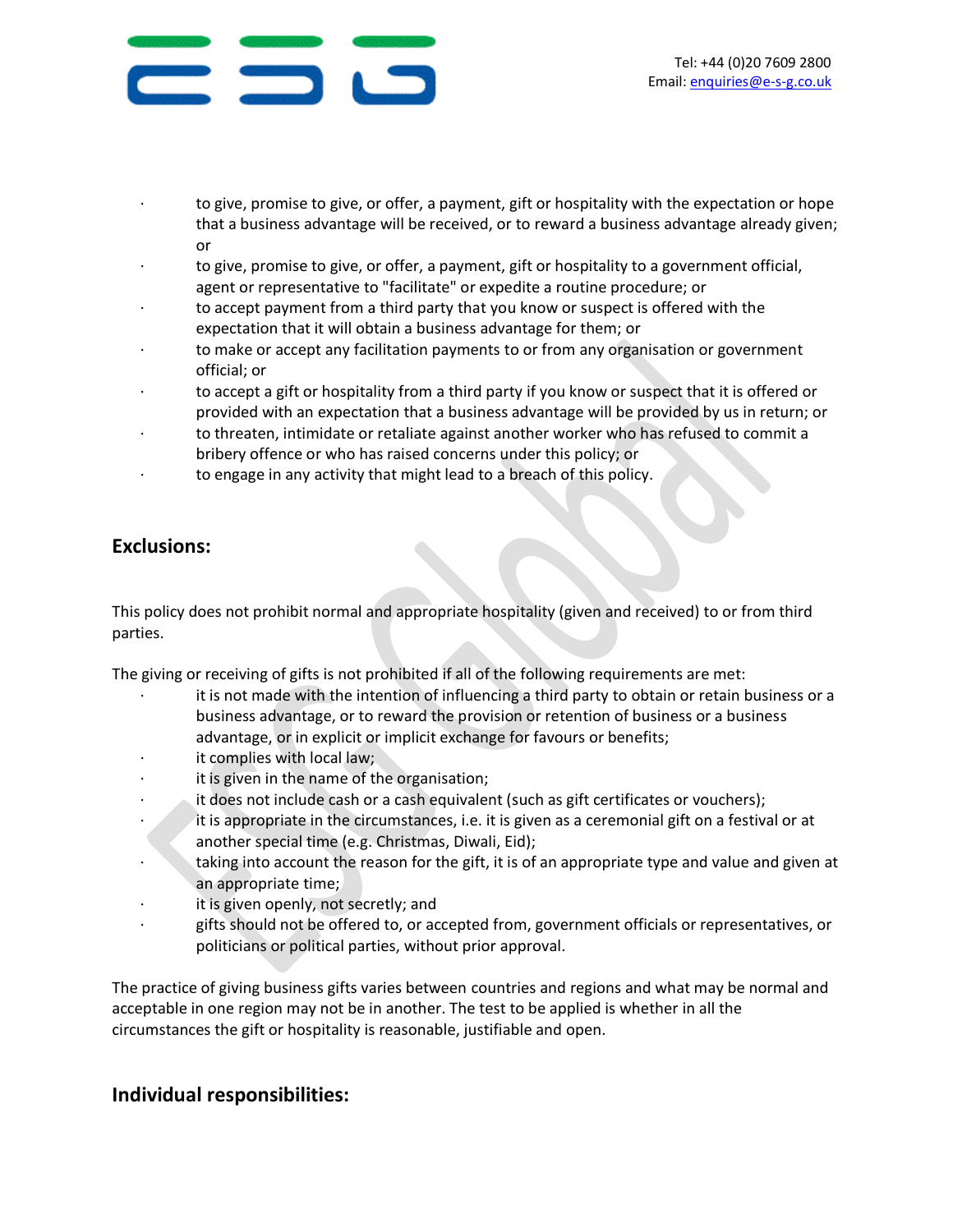

- to give, promise to give, or offer, a payment, gift or hospitality with the expectation or hope that a business advantage will be received, or to reward a business advantage already given; or
- · to give, promise to give, or offer, a payment, gift or hospitality to a government official, agent or representative to "facilitate" or expedite a routine procedure; or
- to accept payment from a third party that you know or suspect is offered with the expectation that it will obtain a business advantage for them; or
- · to make or accept any facilitation payments to or from any organisation or government official; or
- to accept a gift or hospitality from a third party if you know or suspect that it is offered or provided with an expectation that a business advantage will be provided by us in return; or
- to threaten, intimidate or retaliate against another worker who has refused to commit a bribery offence or who has raised concerns under this policy; or
- · to engage in any activity that might lead to a breach of this policy.

## **Exclusions:**

This policy does not prohibit normal and appropriate hospitality (given and received) to or from third parties.

The giving or receiving of gifts is not prohibited if all of the following requirements are met:

- it is not made with the intention of influencing a third party to obtain or retain business or a business advantage, or to reward the provision or retention of business or a business advantage, or in explicit or implicit exchange for favours or benefits;
- it complies with local law;
- it is given in the name of the organisation;
- it does not include cash or a cash equivalent (such as gift certificates or vouchers);
- it is appropriate in the circumstances, i.e. it is given as a ceremonial gift on a festival or at another special time (e.g. Christmas, Diwali, Eid);
- taking into account the reason for the gift, it is of an appropriate type and value and given at an appropriate time;
- it is given openly, not secretly; and
- · gifts should not be offered to, or accepted from, government officials or representatives, or politicians or political parties, without prior approval.

The practice of giving business gifts varies between countries and regions and what may be normal and acceptable in one region may not be in another. The test to be applied is whether in all the circumstances the gift or hospitality is reasonable, justifiable and open.

## **Individual responsibilities:**